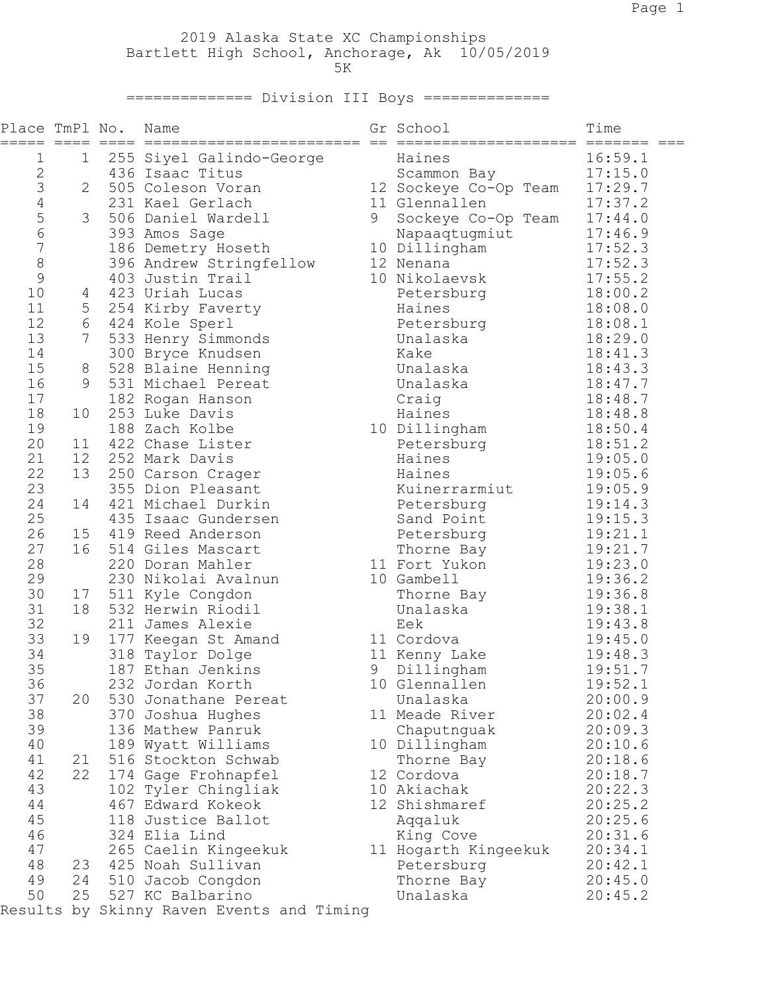2019 Alaska State XC Championships Bartlett High School, Anchorage, Ak 10/05/2019  $5K$ 

============== Division III Boys ==============

| Place TmPl No.<br>===== |                 |                | Name                              |   | Gr School                     | Time    |
|-------------------------|-----------------|----------------|-----------------------------------|---|-------------------------------|---------|
| 1                       | 1               |                | 255 Siyel Galindo-George          |   | Haines                        | 16:59.1 |
| $\overline{c}$          |                 |                | 436 Isaac Titus                   |   | Scammon Bay                   | 17:15.0 |
| 3                       | $\overline{2}$  |                | 505 Coleson Voran                 |   | 12 Sockeye Co-Op Team 17:29.7 |         |
| $\overline{4}$          |                 |                | 231 Kael Gerlach                  |   | 11 Glennallen                 | 17:37.2 |
| 5                       |                 | 3 <sup>7</sup> | 506 Daniel Wardell                | 9 | Sockeye Co-Op Team            | 17:44.0 |
| 6                       |                 |                | 393 Amos Sage                     |   | Napaaqtugmiut                 | 17:46.9 |
| $\overline{7}$          |                 |                | 186 Demetry Hoseth                |   | 10 Dillingham                 | 17:52.3 |
| 8                       |                 |                | 396 Andrew Stringfellow           |   | 12 Nenana                     | 17:52.3 |
| 9                       |                 |                | 403 Justin Trail                  |   | 10 Nikolaevsk                 | 17:55.2 |
| 10                      |                 | 4              | 423 Uriah Lucas                   |   | Petersburg                    | 18:00.2 |
| 11                      |                 |                | 5 254 Kirby Faverty               |   | Haines                        | 18:08.0 |
| 12                      |                 |                | 6 424 Kole Sperl                  |   | Petersburg                    | 18:08.1 |
| 13                      | $7\overline{ }$ |                | 533 Henry Simmonds                |   | Unalaska                      | 18:29.0 |
| 14                      |                 |                | 300 Bryce Knudsen                 |   | Kake                          | 18:41.3 |
| 15                      | 8               |                | 528 Blaine Henning                |   | Unalaska                      | 18:43.3 |
| 16                      | 9               |                | 531 Michael Pereat                |   | Unalaska                      | 18:47.7 |
| 17                      |                 |                | 182 Rogan Hanson                  |   | Craig                         | 18:48.7 |
| 18                      | 10              |                | 253 Luke Davis                    |   | Haines                        | 18:48.8 |
| 19                      |                 |                | 188 Zach Kolbe                    |   | 10 Dillingham                 | 18:50.4 |
| 20                      | 11              |                | 422 Chase Lister                  |   | Petersburg                    | 18:51.2 |
| 21                      | 12 <sup>°</sup> |                | 252 Mark Davis                    |   | Haines                        | 19:05.0 |
| 22                      | 13              |                | 250 Carson Crager                 |   | Haines                        | 19:05.6 |
| 23                      |                 |                | 355 Dion Pleasant                 |   | Kuinerrarmiut                 | 19:05.9 |
| 24                      | 14              |                | 421 Michael Durkin                |   | Petersburg                    | 19:14.3 |
| 25                      |                 |                | 435 Isaac Gundersen               |   | Sand Point                    | 19:15.3 |
| 26                      | 15              |                | 419 Reed Anderson                 |   | Petersburg                    | 19:21.1 |
| 27                      | 16              |                | 514 Giles Mascart                 |   | Thorne Bay                    | 19:21.7 |
| 28                      |                 |                | 220 Doran Mahler                  |   | 11 Fort Yukon                 | 19:23.0 |
| 29                      |                 |                | 230 Nikolai Avalnun               |   | 10 Gambell                    | 19:36.2 |
| 30                      | 17              |                | 511 Kyle Congdon                  |   | Thorne Bay                    | 19:36.8 |
| 31                      | 18              |                | 532 Herwin Riodil                 |   | Unalaska                      | 19:38.1 |
| 32                      |                 |                | 211 James Alexie                  |   | Eek                           | 19:43.8 |
| 33                      | 19              |                | 177 Keegan St Amand               |   | 11 Cordova                    | 19:45.0 |
| 34                      |                 |                | 318 Taylor Dolge                  |   | 11 Kenny Lake                 | 19:48.3 |
| 35                      |                 |                | 187 Ethan Jenkins                 | 9 | Dillingham                    | 19:51.7 |
| 36                      |                 |                | 232 Jordan Korth                  |   | 10 Glennallen                 | 19:52.1 |
| 37                      | 20              |                | 530 Jonathane Pereat              |   | Unalaska                      | 20:00.9 |
| 38                      |                 |                | 370 Joshua Hughes                 |   | 11 Meade River                | 20:02.4 |
| 39                      |                 |                | 136 Mathew Panruk                 |   | Chaputnguak                   | 20:09.3 |
| 40                      |                 |                | 189 Wyatt Williams                |   | 10 Dillingham                 | 20:10.6 |
| 41                      | 21              |                | 516 Stockton Schwab               |   | Thorne Bay                    | 20:18.6 |
| 42                      | 22              |                | 174 Gage Frohnapfel               |   | 12 Cordova                    | 20:18.7 |
| 43                      |                 |                | 102 Tyler Chingliak               |   | 10 Akiachak                   | 20:22.3 |
| 44                      |                 |                | 467 Edward Kokeok                 |   | 12 Shishmaref                 | 20:25.2 |
| 45                      |                 |                | 118 Justice Ballot                |   | Aqqaluk                       | 20:25.6 |
| 46                      |                 |                | 324 Elia Lind                     |   | King Cove                     | 20:31.6 |
| 47                      |                 |                | 265 Caelin Kingeekuk              |   | 11 Hogarth Kingeekuk          | 20:34.1 |
| 48                      | 23              |                | 425 Noah Sullivan                 |   | Petersburg                    | 20:42.1 |
| 49                      | 24              |                | 510 Jacob Congdon                 |   | Thorne Bay                    | 20:45.0 |
| 50                      | 25              |                | 527 KC Balbarino                  |   | Unalaska                      | 20:45.2 |
| Results                 |                 |                | by Skinny Raven Events and Timing |   |                               |         |
|                         |                 |                |                                   |   |                               |         |